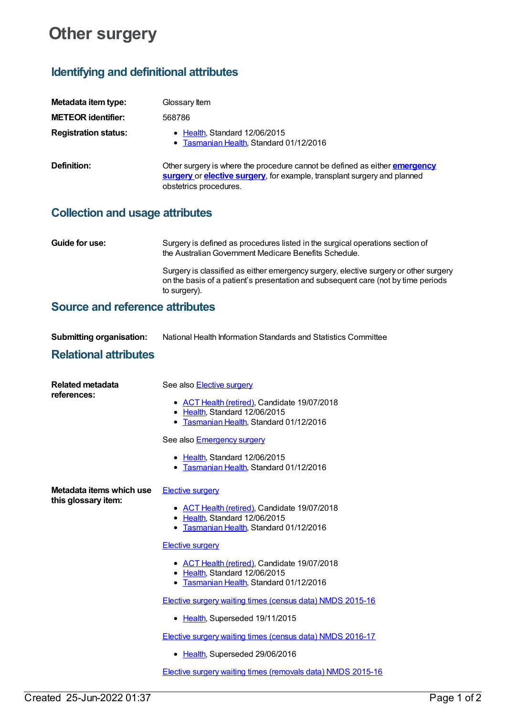# **Other surgery**

# **Identifying and definitional attributes**

| Metadata item type:         | Glossary Item                                                                                                                                                                           |
|-----------------------------|-----------------------------------------------------------------------------------------------------------------------------------------------------------------------------------------|
| <b>METEOR identifier:</b>   | 568786                                                                                                                                                                                  |
| <b>Registration status:</b> | • Health, Standard 12/06/2015<br>• Tasmanian Health, Standard 01/12/2016                                                                                                                |
| Definition:                 | Other surgery is where the procedure cannot be defined as either <b>emergency</b><br>surgery or elective surgery, for example, transplant surgery and planned<br>obstetrics procedures. |

# **Collection and usage attributes**

| <b>Guide for use:</b> | Surgery is defined as procedures listed in the surgical operations section of<br>the Australian Government Medicare Benefits Schedule.                                                    |
|-----------------------|-------------------------------------------------------------------------------------------------------------------------------------------------------------------------------------------|
|                       | Surgery is classified as either emergency surgery, elective surgery or other surgery<br>on the basis of a patient's presentation and subsequent care (not by time periods<br>to surgery). |

## **Source and reference attributes**

| <b>Submitting organisation:</b> | National Health Information Standards and Statistics Committee |
|---------------------------------|----------------------------------------------------------------|
| .                               |                                                                |

### **Relational attributes**

| <b>Related metadata</b><br>references:          | See also Elective surgery                                                                                                |
|-------------------------------------------------|--------------------------------------------------------------------------------------------------------------------------|
|                                                 | • ACT Health (retired), Candidate 19/07/2018<br>• Health, Standard 12/06/2015<br>• Tasmanian Health, Standard 01/12/2016 |
|                                                 | See also <b>Emergency surgery</b>                                                                                        |
|                                                 | • Health, Standard 12/06/2015<br>Tasmanian Health, Standard 01/12/2016<br>٠                                              |
| Metadata items which use<br>this glossary item: | <b>Elective surgery</b>                                                                                                  |
|                                                 | • ACT Health (retired), Candidate 19/07/2018<br>• Health, Standard 12/06/2015<br>• Tasmanian Health, Standard 01/12/2016 |
|                                                 | <b>Elective surgery</b>                                                                                                  |
|                                                 | • ACT Health (retired), Candidate 19/07/2018<br>• Health, Standard 12/06/2015<br>• Tasmanian Health, Standard 01/12/2016 |
|                                                 | Elective surgery waiting times (census data) NMDS 2015-16                                                                |
|                                                 | • Health, Superseded 19/11/2015                                                                                          |
|                                                 | <b>Elective surgery waiting times (census data) NMDS 2016-17</b>                                                         |
|                                                 | • Health, Superseded 29/06/2016                                                                                          |
|                                                 | Elective surgery waiting times (removals data) NMDS 2015-16                                                              |